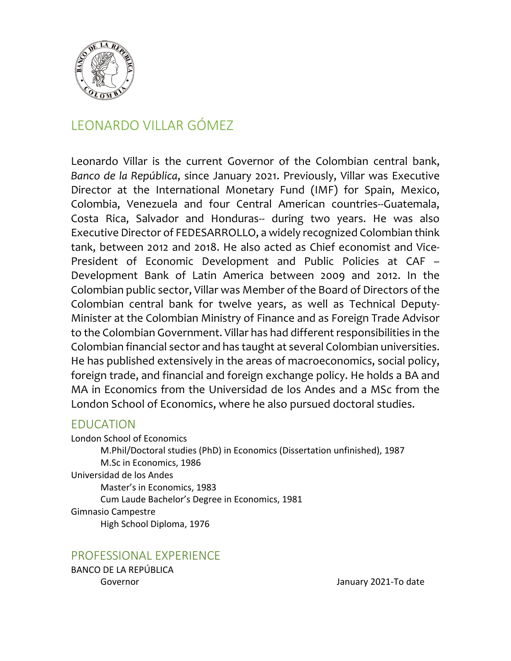

# LEONARDO VILLAR GÓMEZ

Leonardo Villar is the current Governor of the Colombian central bank, *Banco de la República*, since January 2021. Previously, Villar was Executive Director at the International Monetary Fund (IMF) for Spain, Mexico, Colombia, Venezuela and four Central American countries--Guatemala, Costa Rica, Salvador and Honduras-- during two years. He was also Executive Director of FEDESARROLLO, a widely recognized Colombian think tank, between 2012 and 2018. He also acted as Chief economist and Vice-President of Economic Development and Public Policies at CAF – Development Bank of Latin America between 2009 and 2012. In the Colombian public sector, Villar was Member of the Board of Directors of the Colombian central bank for twelve years, as well as Technical Deputy-Minister at the Colombian Ministry of Finance and as Foreign Trade Advisor to the Colombian Government. Villar has had different responsibilities in the Colombian financial sector and has taught at several Colombian universities. He has published extensively in the areas of macroeconomics, social policy, foreign trade, and financial and foreign exchange policy. He holds a BA and MA in Economics from the Universidad de los Andes and a MSc from the London School of Economics, where he also pursued doctoral studies.

#### EDUCATION

London School of Economics M.Phil/Doctoral studies (PhD) in Economics (Dissertation unfinished), 1987 M.Sc in Economics, 1986 Universidad de los Andes Master's in Economics, 1983 Cum Laude Bachelor's Degree in Economics, 1981 Gimnasio Campestre High School Diploma, 1976

PROFESSIONAL EXPERIENCE

BANCO DE LA REPÚBLICA

Governor January 2021-To date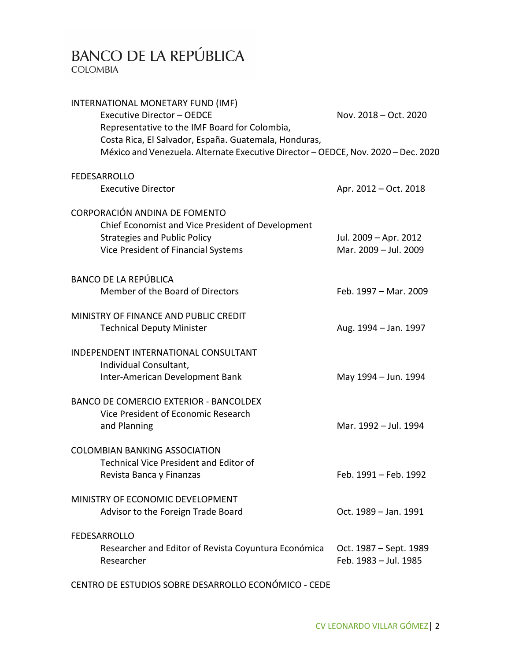# BANCO DE LA REPÚBLICA

**COLOMBIA** 

| INTERNATIONAL MONETARY FUND (IMF)<br>Executive Director - OEDCE<br>Representative to the IMF Board for Colombia,                           | Nov. 2018 - Oct. 2020                           |
|--------------------------------------------------------------------------------------------------------------------------------------------|-------------------------------------------------|
| Costa Rica, El Salvador, España. Guatemala, Honduras,<br>México and Venezuela. Alternate Executive Director - OEDCE, Nov. 2020 - Dec. 2020 |                                                 |
| <b>FEDESARROLLO</b>                                                                                                                        |                                                 |
| <b>Executive Director</b>                                                                                                                  | Apr. 2012 – Oct. 2018                           |
| CORPORACIÓN ANDINA DE FOMENTO<br>Chief Economist and Vice President of Development                                                         |                                                 |
| <b>Strategies and Public Policy</b><br>Vice President of Financial Systems                                                                 | Jul. 2009 - Apr. 2012<br>Mar. 2009 - Jul. 2009  |
| <b>BANCO DE LA REPÚBLICA</b>                                                                                                               |                                                 |
| Member of the Board of Directors                                                                                                           | Feb. 1997 - Mar. 2009                           |
| MINISTRY OF FINANCE AND PUBLIC CREDIT<br><b>Technical Deputy Minister</b>                                                                  | Aug. 1994 - Jan. 1997                           |
| INDEPENDENT INTERNATIONAL CONSULTANT<br>Individual Consultant,<br>Inter-American Development Bank                                          | May 1994 - Jun. 1994                            |
| <b>BANCO DE COMERCIO EXTERIOR - BANCOLDEX</b><br>Vice President of Economic Research<br>and Planning                                       | Mar. 1992 - Jul. 1994                           |
| <b>COLOMBIAN BANKING ASSOCIATION</b><br><b>Technical Vice President and Editor of</b><br>Revista Banca y Finanzas                          | Feb. 1991 - Feb. 1992                           |
| MINISTRY OF ECONOMIC DEVELOPMENT<br>Advisor to the Foreign Trade Board                                                                     | Oct. 1989 - Jan. 1991                           |
| <b>FEDESARROLLO</b><br>Researcher and Editor of Revista Coyuntura Económica<br>Researcher                                                  | Oct. 1987 – Sept. 1989<br>Feb. 1983 - Jul. 1985 |
| CENTRO DE ESTUDIOS SOBRE DESARROLLO ECONÓMICO - CEDE                                                                                       |                                                 |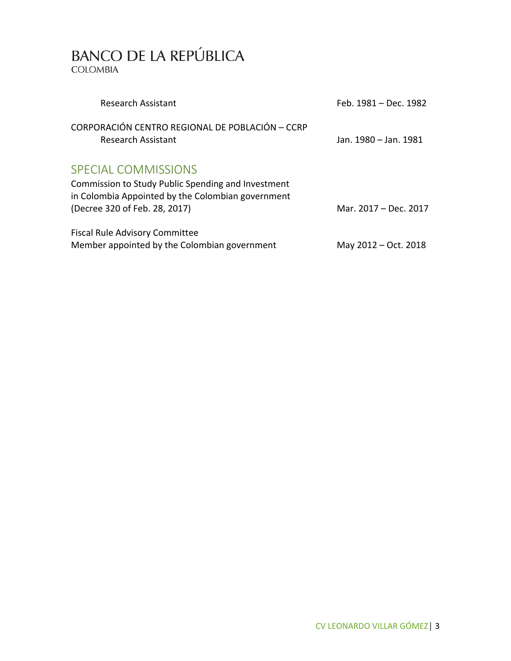| <b>Research Assistant</b>                                                                               | Feb. 1981 – Dec. 1982 |
|---------------------------------------------------------------------------------------------------------|-----------------------|
| CORPORACIÓN CENTRO REGIONAL DE POBLACIÓN - CCRP<br><b>Research Assistant</b>                            | Jan. 1980 – Jan. 1981 |
| <b>SPECIAL COMMISSIONS</b>                                                                              |                       |
| Commission to Study Public Spending and Investment<br>in Colombia Appointed by the Colombian government |                       |
| (Decree 320 of Feb. 28, 2017)                                                                           | Mar. 2017 - Dec. 2017 |
| <b>Fiscal Rule Advisory Committee</b>                                                                   |                       |
| Member appointed by the Colombian government                                                            | May 2012 – Oct. 2018  |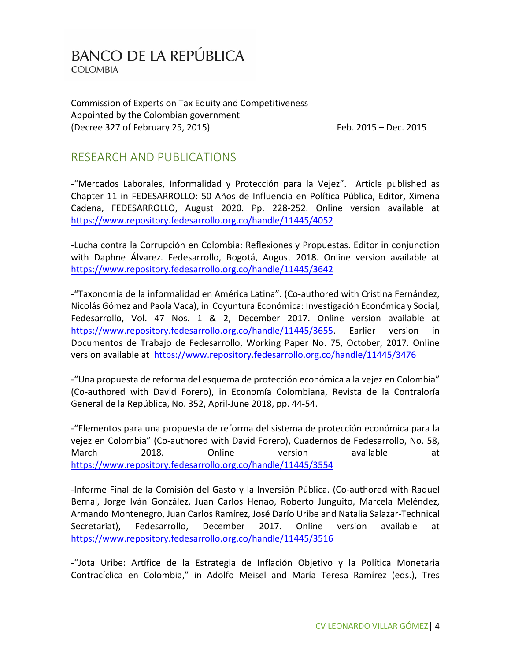Commission of Experts on Tax Equity and Competitiveness Appointed by the Colombian government (Decree 327 of February 25, 2015) Feb. 2015 – Dec. 2015

#### RESEARCH AND PUBLICATIONS

-"Mercados Laborales, Informalidad y Protección para la Vejez". Article published as Chapter 11 in FEDESARROLLO: 50 Años de Influencia en Política Pública, Editor, Ximena Cadena, FEDESARROLLO, August 2020. Pp. 228-252. Online version available at <https://www.repository.fedesarrollo.org.co/handle/11445/4052>

-Lucha contra la Corrupción en Colombia: Reflexiones y Propuestas. Editor in conjunction with Daphne Álvarez. Fedesarrollo, Bogotá, August 2018. Online version available at <https://www.repository.fedesarrollo.org.co/handle/11445/3642>

-"Taxonomía de la informalidad en América Latina". (Co-authored with Cristina Fernández, Nicolás Gómez and Paola Vaca), in Coyuntura Económica: Investigación Económica y Social, Fedesarrollo, Vol. 47 Nos. 1 & 2, December 2017. Online version available at [https://www.repository.fedesarrollo.org.co/handle/11445/3655.](https://www.repository.fedesarrollo.org.co/handle/11445/3655) Earlier version in Documentos de Trabajo de Fedesarrollo, Working Paper No. 75, October, 2017. Online version available at https://www.repository.fedesarrollo.org.co/handle/11445/3476

-"Una propuesta de reforma del esquema de protección económica a la vejez en Colombia" (Co-authored with David Forero), in Economía Colombiana, Revista de la Contraloría General de la República, No. 352, April-June 2018, pp. 44-54.

-"Elementos para una propuesta de reforma del sistema de protección económica para la vejez en Colombia" (Co-authored with David Forero), Cuadernos de Fedesarrollo, No. 58, March 2018. Online version available at <https://www.repository.fedesarrollo.org.co/handle/11445/3554>

-Informe Final de la Comisión del Gasto y la Inversión Pública. (Co-authored with Raquel Bernal, Jorge Iván González, Juan Carlos Henao, Roberto Junguito, Marcela Meléndez, Armando Montenegro, Juan Carlos Ramírez, José Darío Uribe and Natalia Salazar-Technical Secretariat), Fedesarrollo, December 2017. Online version available at <https://www.repository.fedesarrollo.org.co/handle/11445/3516>

-"Jota Uribe: Artífice de la Estrategia de Inflación Objetivo y la Política Monetaria Contracíclica en Colombia," in Adolfo Meisel and María Teresa Ramírez (eds.), Tres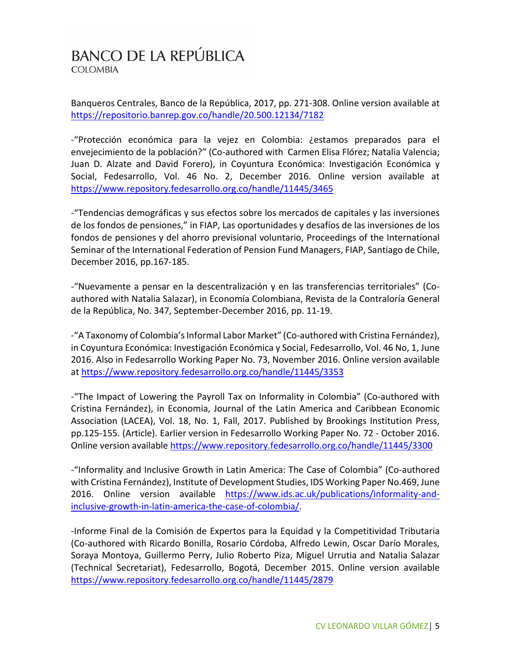Banqueros Centrales, Banco de la República, 2017, pp. 271-308. Online version available at <https://repositorio.banrep.gov.co/handle/20.500.12134/7182>

-"Protección económica para la vejez en Colombia: ¿estamos preparados para el envejecimiento de la población?" (Co-authored with Carmen Elisa Flórez; Natalia Valencia; Juan D. Alzate and David Forero), in Coyuntura Económica: Investigación Económica y Social, Fedesarrollo, Vol. 46 No. 2, December 2016. Online version available at <https://www.repository.fedesarrollo.org.co/handle/11445/3465>

-"Tendencias demográficas y sus efectos sobre los mercados de capitales y las inversiones de los fondos de pensiones," in FIAP, Las oportunidades y desafíos de las inversiones de los fondos de pensiones y del ahorro previsional voluntario, Proceedings of the International Seminar of the International Federation of Pension Fund Managers, FIAP, Santiago de Chile, December 2016, pp.167-185.

-"Nuevamente a pensar en la descentralización y en las transferencias territoriales" (Coauthored with Natalia Salazar), in Economía Colombiana, Revista de la Contraloría General de la República, No. 347, September-December 2016, pp. 11-19.

-"A Taxonomy of Colombia's Informal Labor Market" (Co-authored with Cristina Fernández), in Coyuntura Económica: Investigación Económica y Social, Fedesarrollo, Vol. 46 No, 1, June 2016. Also in Fedesarrollo Working Paper No. 73, November 2016. Online version available at <https://www.repository.fedesarrollo.org.co/handle/11445/3353>

-"The Impact of Lowering the Payroll Tax on Informality in Colombia" (Co-authored with Cristina Fernández), in Economia, Journal of the Latin America and Caribbean Economic Association (LACEA), Vol. 18, No. 1, Fall, 2017. Published by Brookings Institution Press, pp.125-155. (Article). Earlier version in Fedesarrollo Working Paper No. 72 - October 2016. Online version available<https://www.repository.fedesarrollo.org.co/handle/11445/3300>

-"Informality and Inclusive Growth in Latin America: The Case of Colombia" (Co-authored with Cristina Fernández), Institute of Development Studies, IDS Working Paper No.469, June 2016. Online version available [https://www.ids.ac.uk/publications/informality-and](https://www.ids.ac.uk/publications/informality-and-inclusive-growth-in-latin-america-the-case-of-colombia/)[inclusive-growth-in-latin-america-the-case-of-colombia/.](https://www.ids.ac.uk/publications/informality-and-inclusive-growth-in-latin-america-the-case-of-colombia/)

-Informe Final de la Comisión de Expertos para la Equidad y la Competitividad Tributaria (Co-authored with Ricardo Bonilla, Rosario Córdoba, Alfredo Lewin, Oscar Darío Morales, Soraya Montoya, Guillermo Perry, Julio Roberto Piza, Miguel Urrutia and Natalia Salazar (Technical Secretariat), Fedesarrollo, Bogotá, December 2015. Online version available <https://www.repository.fedesarrollo.org.co/handle/11445/2879>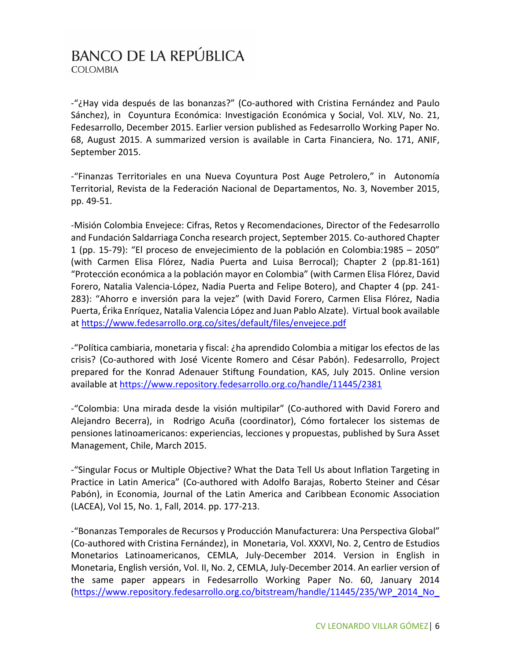-"¿Hay vida después de las bonanzas?" (Co-authored with Cristina Fernández and Paulo Sánchez), in Coyuntura Económica: Investigación Económica y Social, Vol. XLV, No. 21, Fedesarrollo, December 2015. Earlier version published as Fedesarrollo Working Paper No. 68, August 2015. A summarized version is available in Carta Financiera, No. 171, ANIF, September 2015.

-"Finanzas Territoriales en una Nueva Coyuntura Post Auge Petrolero," in Autonomía Territorial, Revista de la Federación Nacional de Departamentos, No. 3, November 2015, pp. 49-51.

-Misión Colombia Envejece: Cifras, Retos y Recomendaciones, Director of the Fedesarrollo and Fundación Saldarriaga Concha research project, September 2015. Co-authored Chapter 1 (pp. 15-79): "El proceso de envejecimiento de la población en Colombia:1985 – 2050" (with Carmen Elisa Flórez, Nadia Puerta and Luisa Berrocal); Chapter 2 (pp.81-161) "Protección económica a la población mayor en Colombia" (with Carmen Elisa Flórez, David Forero, Natalia Valencia-López, Nadia Puerta and Felipe Botero), and Chapter 4 (pp. 241- 283): "Ahorro e inversión para la vejez" (with David Forero, Carmen Elisa Flórez, Nadia Puerta, Érika Enríquez, Natalia Valencia López and Juan Pablo Alzate). Virtual book available at<https://www.fedesarrollo.org.co/sites/default/files/envejece.pdf>

-"Política cambiaria, monetaria y fiscal: ¿ha aprendido Colombia a mitigar los efectos de las crisis? (Co-authored with José Vicente Romero and César Pabón). Fedesarrollo, Project prepared for the Konrad Adenauer Stiftung Foundation, KAS, July 2015. Online version available at <https://www.repository.fedesarrollo.org.co/handle/11445/2381>

-"Colombia: Una mirada desde la visión multipilar" (Co-authored with David Forero and Alejandro Becerra), in Rodrigo Acuña (coordinator), Cómo fortalecer los sistemas de pensiones latinoamericanos: experiencias, lecciones y propuestas, published by Sura Asset Management, Chile, March 2015.

-"Singular Focus or Multiple Objective? What the Data Tell Us about Inflation Targeting in Practice in Latin America" (Co-authored with Adolfo Barajas, Roberto Steiner and César Pabón), in Economia, Journal of the Latin America and Caribbean Economic Association (LACEA), Vol 15, No. 1, Fall, 2014. pp. 177-213.

-"Bonanzas Temporales de Recursos y Producción Manufacturera: Una Perspectiva Global" (Co-authored with Cristina Fernández), in Monetaria, Vol. XXXVI, No. 2, Centro de Estudios Monetarios Latinoamericanos, CEMLA, July-December 2014. Version in English in Monetaria, English versión, Vol. II, No. 2, CEMLA, July-December 2014. An earlier version of the same paper appears in Fedesarrollo Working Paper No. 60, January 2014 [\(https://www.repository.fedesarrollo.org.co/bitstream/handle/11445/235/WP\\_2014\\_No\\_](https://www.repository.fedesarrollo.org.co/bitstream/handle/11445/235/WP_2014_No_60.pdf?sequence=1&isAllowed=y)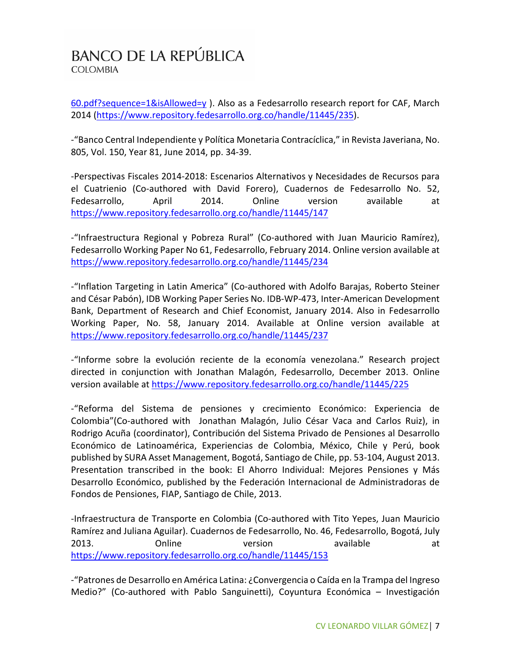[60.pdf?sequence=1&isAllowed=y](https://www.repository.fedesarrollo.org.co/bitstream/handle/11445/235/WP_2014_No_60.pdf?sequence=1&isAllowed=y) ). Also as a Fedesarrollo research report for CAF, March 2014 [\(https://www.repository.fedesarrollo.org.co/handle/11445/235\)](https://www.repository.fedesarrollo.org.co/handle/11445/235).

-"Banco Central Independiente y Política Monetaria Contracíclica," in Revista Javeriana, No. 805, Vol. 150, Year 81, June 2014, pp. 34-39.

-Perspectivas Fiscales 2014-2018: Escenarios Alternativos y Necesidades de Recursos para el Cuatrienio (Co-authored with David Forero), Cuadernos de Fedesarrollo No. 52, Fedesarrollo, April 2014. Online version available at <https://www.repository.fedesarrollo.org.co/handle/11445/147>

-"Infraestructura Regional y Pobreza Rural" (Co-authored with Juan Mauricio Ramírez), Fedesarrollo Working Paper No 61, Fedesarrollo, February 2014. Online version available at <https://www.repository.fedesarrollo.org.co/handle/11445/234>

-"Inflation Targeting in Latin America" (Co-authored with Adolfo Barajas, Roberto Steiner and César Pabón), IDB Working Paper Series No. IDB-WP-473, Inter-American Development Bank, Department of Research and Chief Economist, January 2014. Also in Fedesarrollo Working Paper, No. 58, January 2014. Available at Online version available at <https://www.repository.fedesarrollo.org.co/handle/11445/237>

-"Informe sobre la evolución reciente de la economía venezolana." Research project directed in conjunction with Jonathan Malagón, Fedesarrollo, December 2013. Online version available at <https://www.repository.fedesarrollo.org.co/handle/11445/225>

-"Reforma del Sistema de pensiones y crecimiento Económico: Experiencia de Colombia"(Co-authored with Jonathan Malagón, Julio César Vaca and Carlos Ruiz), in Rodrigo Acuña (coordinator), Contribución del Sistema Privado de Pensiones al Desarrollo Económico de Latinoamérica, Experiencias de Colombia, México, Chile y Perú, book published by SURA Asset Management, Bogotá, Santiago de Chile, pp. 53-104, August 2013. Presentation transcribed in the book: El Ahorro Individual: Mejores Pensiones y Más Desarrollo Económico, published by the Federación Internacional de Administradoras de Fondos de Pensiones, FIAP, Santiago de Chile, 2013.

-Infraestructura de Transporte en Colombia (Co-authored with Tito Yepes, Juan Mauricio Ramírez and Juliana Aguilar). Cuadernos de Fedesarrollo, No. 46, Fedesarrollo, Bogotá, July 2013. Conline version available at <https://www.repository.fedesarrollo.org.co/handle/11445/153>

-"Patrones de Desarrollo en América Latina: ¿Convergencia o Caída en la Trampa del Ingreso Medio?" (Co-authored with Pablo Sanguinetti), Coyuntura Económica – Investigación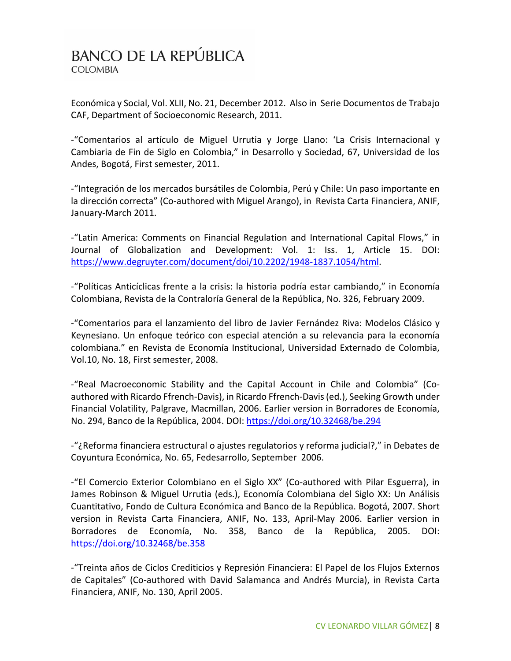Económica y Social, Vol. XLII, No. 21, December 2012. Also in Serie Documentos de Trabajo CAF, Department of Socioeconomic Research, 2011.

-"Comentarios al artículo de Miguel Urrutia y Jorge Llano: 'La Crisis Internacional y Cambiaria de Fin de Siglo en Colombia," in Desarrollo y Sociedad, 67, Universidad de los Andes, Bogotá, First semester, 2011.

-"Integración de los mercados bursátiles de Colombia, Perú y Chile: Un paso importante en la dirección correcta" (Co-authored with Miguel Arango), in Revista Carta Financiera, ANIF, January-March 2011.

-"Latin America: Comments on Financial Regulation and International Capital Flows," in Journal of Globalization and Development: Vol. 1: Iss. 1, Article 15. DOI: [https://www.degruyter.com/document/doi/10.2202/1948-1837.1054/html.](https://www.degruyter.com/document/doi/10.2202/1948-1837.1054/html)

-"Políticas Anticíclicas frente a la crisis: la historia podría estar cambiando," in Economía Colombiana, Revista de la Contraloría General de la República, No. 326, February 2009.

-"Comentarios para el lanzamiento del libro de Javier Fernández Riva: Modelos Clásico y Keynesiano. Un enfoque teórico con especial atención a su relevancia para la economía colombiana." en Revista de Economía Institucional, Universidad Externado de Colombia, Vol.10, No. 18, First semester, 2008.

-"Real Macroeconomic Stability and the Capital Account in Chile and Colombia" (Coauthored with Ricardo Ffrench-Davis), in Ricardo Ffrench-Davis (ed.), Seeking Growth under Financial Volatility, Palgrave, Macmillan, 2006. Earlier version in Borradores de Economía, No. 294, Banco de la República, 2004. DOI:<https://doi.org/10.32468/be.294>

-"¿Reforma financiera estructural o ajustes regulatorios y reforma judicial?," in Debates de Coyuntura Económica, No. 65, Fedesarrollo, September 2006.

-"El Comercio Exterior Colombiano en el Siglo XX" (Co-authored with Pilar Esguerra), in James Robinson & Miguel Urrutia (eds.), Economía Colombiana del Siglo XX: Un Análisis Cuantitativo, Fondo de Cultura Económica and Banco de la República. Bogotá, 2007. Short version in Revista Carta Financiera, ANIF, No. 133, April-May 2006. Earlier version in Borradores de Economía, No. 358, Banco de la República, 2005. DOI: <https://doi.org/10.32468/be.358>

-"Treinta años de Ciclos Crediticios y Represión Financiera: El Papel de los Flujos Externos de Capitales" (Co-authored with David Salamanca and Andrés Murcia), in Revista Carta Financiera, ANIF, No. 130, April 2005.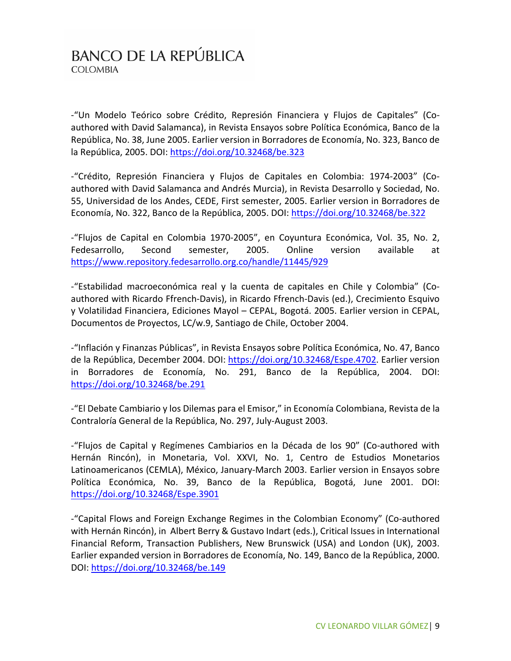-"Un Modelo Teórico sobre Crédito, Represión Financiera y Flujos de Capitales" (Coauthored with David Salamanca), in Revista Ensayos sobre Política Económica, Banco de la República, No. 38, June 2005. Earlier version in Borradores de Economía, No. 323, Banco de la República, 2005. DOI:<https://doi.org/10.32468/be.323>

-"Crédito, Represión Financiera y Flujos de Capitales en Colombia: 1974-2003" (Coauthored with David Salamanca and Andrés Murcia), in Revista Desarrollo y Sociedad, No. 55, Universidad de los Andes, CEDE, First semester, 2005. Earlier version in Borradores de Economía, No. 322, Banco de la República, 2005. DOI:<https://doi.org/10.32468/be.322>

-"Flujos de Capital en Colombia 1970-2005", en Coyuntura Económica, Vol. 35, No. 2, Fedesarrollo, Second semester, 2005. Online version available at <https://www.repository.fedesarrollo.org.co/handle/11445/929>

-"Estabilidad macroeconómica real y la cuenta de capitales en Chile y Colombia" (Coauthored with Ricardo Ffrench-Davis), in Ricardo Ffrench-Davis (ed.), Crecimiento Esquivo y Volatilidad Financiera, Ediciones Mayol – CEPAL, Bogotá. 2005. Earlier version in CEPAL, Documentos de Proyectos, LC/w.9, Santiago de Chile, October 2004.

-"Inflación y Finanzas Públicas", in Revista Ensayos sobre Política Económica, No. 47, Banco de la República, December 2004. DOI: [https://doi.org/10.32468/Espe.4702.](https://doi.org/10.32468/Espe.4702) Earlier version in Borradores de Economía, No. 291, Banco de la República, 2004. DOI: <https://doi.org/10.32468/be.291>

-"El Debate Cambiario y los Dilemas para el Emisor," in Economía Colombiana, Revista de la Contraloría General de la República, No. 297, July-August 2003.

-"Flujos de Capital y Regímenes Cambiarios en la Década de los 90" (Co-authored with Hernán Rincón), in Monetaria, Vol. XXVI, No. 1, Centro de Estudios Monetarios Latinoamericanos (CEMLA), México, January-March 2003. Earlier version in Ensayos sobre Política Económica, No. 39, Banco de la República, Bogotá, June 2001. DOI: <https://doi.org/10.32468/Espe.3901>

-"Capital Flows and Foreign Exchange Regimes in the Colombian Economy" (Co-authored with Hernán Rincón), in Albert Berry & Gustavo Indart (eds.), Critical Issues in International Financial Reform, Transaction Publishers, New Brunswick (USA) and London (UK), 2003. Earlier expanded version in Borradores de Economía, No. 149, Banco de la República, 2000. DOI:<https://doi.org/10.32468/be.149>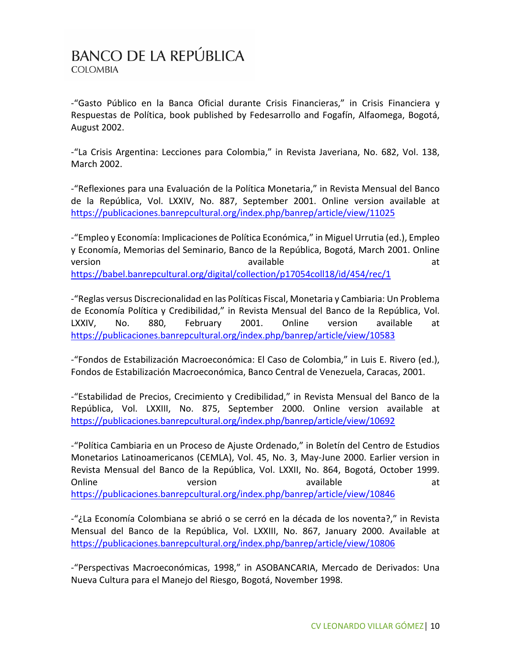-"Gasto Público en la Banca Oficial durante Crisis Financieras," in Crisis Financiera y Respuestas de Política, book published by Fedesarrollo and Fogafín, Alfaomega, Bogotá, August 2002.

-"La Crisis Argentina: Lecciones para Colombia," in Revista Javeriana, No. 682, Vol. 138, March 2002.

-"Reflexiones para una Evaluación de la Política Monetaria," in Revista Mensual del Banco de la República, Vol. LXXIV, No. 887, September 2001. Online version available at <https://publicaciones.banrepcultural.org/index.php/banrep/article/view/11025>

-"Empleo y Economía: Implicaciones de Política Económica," in Miguel Urrutia (ed.), Empleo y Economía, Memorias del Seminario, Banco de la República, Bogotá, March 2001. Online version available available available at the state  $\alpha$ <https://babel.banrepcultural.org/digital/collection/p17054coll18/id/454/rec/1>

-"Reglas versus Discrecionalidad en las Políticas Fiscal, Monetaria y Cambiaria: Un Problema de Economía Política y Credibilidad," in Revista Mensual del Banco de la República, Vol. LXXIV, No. 880, February 2001. Online version available at <https://publicaciones.banrepcultural.org/index.php/banrep/article/view/10583>

-"Fondos de Estabilización Macroeconómica: El Caso de Colombia," in Luis E. Rivero (ed.), Fondos de Estabilización Macroeconómica, Banco Central de Venezuela, Caracas, 2001.

-"Estabilidad de Precios, Crecimiento y Credibilidad," in Revista Mensual del Banco de la República, Vol. LXXIII, No. 875, September 2000. Online version available at <https://publicaciones.banrepcultural.org/index.php/banrep/article/view/10692>

-"Política Cambiaria en un Proceso de Ajuste Ordenado," in Boletín del Centro de Estudios Monetarios Latinoamericanos (CEMLA), Vol. 45, No. 3, May-June 2000. Earlier version in Revista Mensual del Banco de la República, Vol. LXXII, No. 864, Bogotá, October 1999. Online and version and available available at the contract of the version at the contract of the contract of t <https://publicaciones.banrepcultural.org/index.php/banrep/article/view/10846>

-"¿La Economía Colombiana se abrió o se cerró en la década de los noventa?," in Revista Mensual del Banco de la República, Vol. LXXIII, No. 867, January 2000. Available at <https://publicaciones.banrepcultural.org/index.php/banrep/article/view/10806>

-"Perspectivas Macroeconómicas, 1998," in ASOBANCARIA, Mercado de Derivados: Una Nueva Cultura para el Manejo del Riesgo, Bogotá, November 1998.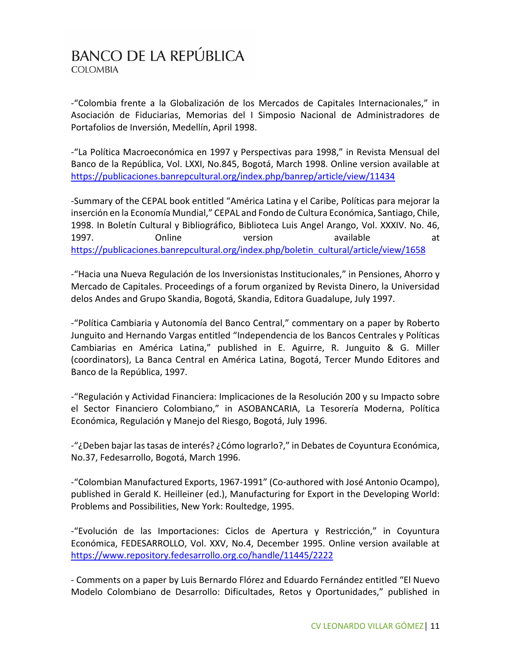-"Colombia frente a la Globalización de los Mercados de Capitales Internacionales," in Asociación de Fiduciarias, Memorias del I Simposio Nacional de Administradores de Portafolios de Inversión, Medellín, April 1998.

-"La Política Macroeconómica en 1997 y Perspectivas para 1998," in Revista Mensual del Banco de la República, Vol. LXXI, No.845, Bogotá, March 1998. Online version available at <https://publicaciones.banrepcultural.org/index.php/banrep/article/view/11434>

-Summary of the CEPAL book entitled "América Latina y el Caribe, Políticas para mejorar la inserción en la Economía Mundial," CEPAL and Fondo de Cultura Económica, Santiago, Chile, 1998. In Boletín Cultural y Bibliográfico, Biblioteca Luis Angel Arango, Vol. XXXIV. No. 46, 1997. Chline version available at [https://publicaciones.banrepcultural.org/index.php/boletin\\_cultural/article/view/1658](https://publicaciones.banrepcultural.org/index.php/boletin_cultural/article/view/1658)

-"Hacia una Nueva Regulación de los Inversionistas Institucionales," in Pensiones, Ahorro y Mercado de Capitales. Proceedings of a forum organized by Revista Dinero, la Universidad delos Andes and Grupo Skandia, Bogotá, Skandia, Editora Guadalupe, July 1997.

-"Política Cambiaria y Autonomía del Banco Central," commentary on a paper by Roberto Junguito and Hernando Vargas entitled "Independencia de los Bancos Centrales y Políticas Cambiarias en América Latina," published in E. Aguirre, R. Junguito & G. Miller (coordinators), La Banca Central en América Latina, Bogotá, Tercer Mundo Editores and Banco de la República, 1997.

-"Regulación y Actividad Financiera: Implicaciones de la Resolución 200 y su Impacto sobre el Sector Financiero Colombiano," in ASOBANCARIA, La Tesorería Moderna, Política Económica, Regulación y Manejo del Riesgo, Bogotá, July 1996.

-"¿Deben bajar las tasas de interés? ¿Cómo lograrlo?," in Debates de Coyuntura Económica, No.37, Fedesarrollo, Bogotá, March 1996.

-"Colombian Manufactured Exports, 1967-1991" (Co-authored with José Antonio Ocampo), published in Gerald K. Heilleiner (ed.), Manufacturing for Export in the Developing World: Problems and Possibilities, New York: Roultedge, 1995.

-"Evolución de las Importaciones: Ciclos de Apertura y Restricción," in Coyuntura Económica, FEDESARROLLO, Vol. XXV, No.4, December 1995. Online version available at <https://www.repository.fedesarrollo.org.co/handle/11445/2222>

- Comments on a paper by Luis Bernardo Flórez and Eduardo Fernández entitled "El Nuevo Modelo Colombiano de Desarrollo: Dificultades, Retos y Oportunidades," published in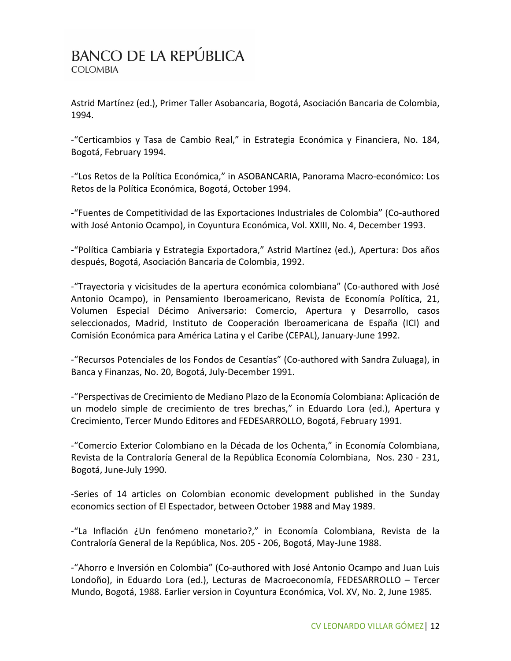Astrid Martínez (ed.), Primer Taller Asobancaria, Bogotá, Asociación Bancaria de Colombia, 1994.

-"Certicambios y Tasa de Cambio Real," in Estrategia Económica y Financiera, No. 184, Bogotá, February 1994.

-"Los Retos de la Política Económica," in ASOBANCARIA, Panorama Macro-económico: Los Retos de la Política Económica, Bogotá, October 1994.

-"Fuentes de Competitividad de las Exportaciones Industriales de Colombia" (Co-authored with José Antonio Ocampo), in Coyuntura Económica, Vol. XXIII, No. 4, December 1993.

-"Política Cambiaria y Estrategia Exportadora," Astrid Martínez (ed.), Apertura: Dos años después, Bogotá, Asociación Bancaria de Colombia, 1992.

-"Trayectoria y vicisitudes de la apertura económica colombiana" (Co-authored with José Antonio Ocampo), in Pensamiento Iberoamericano, Revista de Economía Política, 21, Volumen Especial Décimo Aniversario: Comercio, Apertura y Desarrollo, casos seleccionados, Madrid, Instituto de Cooperación Iberoamericana de España (ICI) and Comisión Económica para América Latina y el Caribe (CEPAL), January-June 1992.

-"Recursos Potenciales de los Fondos de Cesantías" (Co-authored with Sandra Zuluaga), in Banca y Finanzas, No. 20, Bogotá, July-December 1991.

-"Perspectivas de Crecimiento de Mediano Plazo de la Economía Colombiana: Aplicación de un modelo simple de crecimiento de tres brechas," in Eduardo Lora (ed.), Apertura y Crecimiento, Tercer Mundo Editores and FEDESARROLLO, Bogotá, February 1991.

-"Comercio Exterior Colombiano en la Década de los Ochenta," in Economía Colombiana, Revista de la Contraloría General de la República Economía Colombiana, Nos. 230 - 231, Bogotá, June-July 1990.

-Series of 14 articles on Colombian economic development published in the Sunday economics section of El Espectador, between October 1988 and May 1989.

-"La Inflación ¿Un fenómeno monetario?," in Economía Colombiana, Revista de la Contraloría General de la República, Nos. 205 - 206, Bogotá, May-June 1988.

-"Ahorro e Inversión en Colombia" (Co-authored with José Antonio Ocampo and Juan Luis Londoño), in Eduardo Lora (ed.), Lecturas de Macroeconomía, FEDESARROLLO – Tercer Mundo, Bogotá, 1988. Earlier version in Coyuntura Económica, Vol. XV, No. 2, June 1985.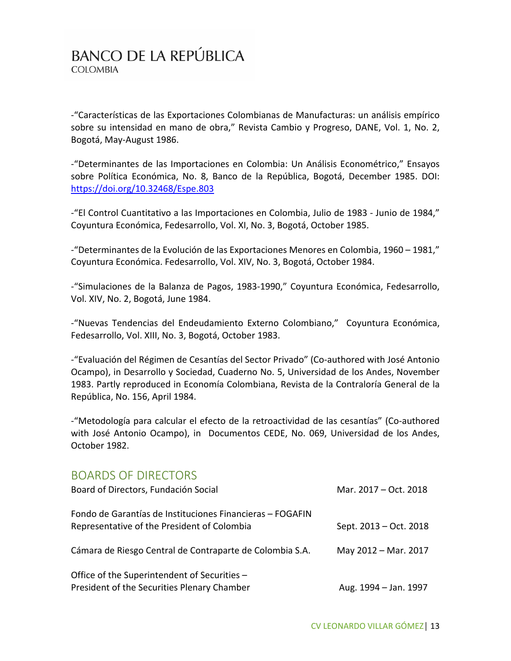-"Características de las Exportaciones Colombianas de Manufacturas: un análisis empírico sobre su intensidad en mano de obra," Revista Cambio y Progreso, DANE, Vol. 1, No. 2, Bogotá, May-August 1986.

-"Determinantes de las Importaciones en Colombia: Un Análisis Econométrico," Ensayos sobre Política Económica, No. 8, Banco de la República, Bogotá, December 1985. DOI: <https://doi.org/10.32468/Espe.803>

-"El Control Cuantitativo a las Importaciones en Colombia, Julio de 1983 - Junio de 1984," Coyuntura Económica, Fedesarrollo, Vol. XI, No. 3, Bogotá, October 1985.

-"Determinantes de la Evolución de las Exportaciones Menores en Colombia, 1960 – 1981," Coyuntura Económica. Fedesarrollo, Vol. XIV, No. 3, Bogotá, October 1984.

-"Simulaciones de la Balanza de Pagos, 1983-1990," Coyuntura Económica, Fedesarrollo, Vol. XIV, No. 2, Bogotá, June 1984.

-"Nuevas Tendencias del Endeudamiento Externo Colombiano," Coyuntura Económica, Fedesarrollo, Vol. XIII, No. 3, Bogotá, October 1983.

-"Evaluación del Régimen de Cesantías del Sector Privado" (Co-authored with José Antonio Ocampo), in Desarrollo y Sociedad, Cuaderno No. 5, Universidad de los Andes, November 1983. Partly reproduced in Economía Colombiana, Revista de la Contraloría General de la República, No. 156, April 1984.

-"Metodología para calcular el efecto de la retroactividad de las cesantías" (Co-authored with José Antonio Ocampo), in Documentos CEDE, No. 069, Universidad de los Andes, October 1982.

#### BOARDS OF DIRECTORS

| Board of Directors, Fundación Social                                                                     | Mar. 2017 - Oct. 2018  |
|----------------------------------------------------------------------------------------------------------|------------------------|
| Fondo de Garantías de Instituciones Financieras - FOGAFIN<br>Representative of the President of Colombia | Sept. 2013 – Oct. 2018 |
| Cámara de Riesgo Central de Contraparte de Colombia S.A.                                                 | May 2012 - Mar. 2017   |
| Office of the Superintendent of Securities -<br>President of the Securities Plenary Chamber              | Aug. 1994 - Jan. 1997  |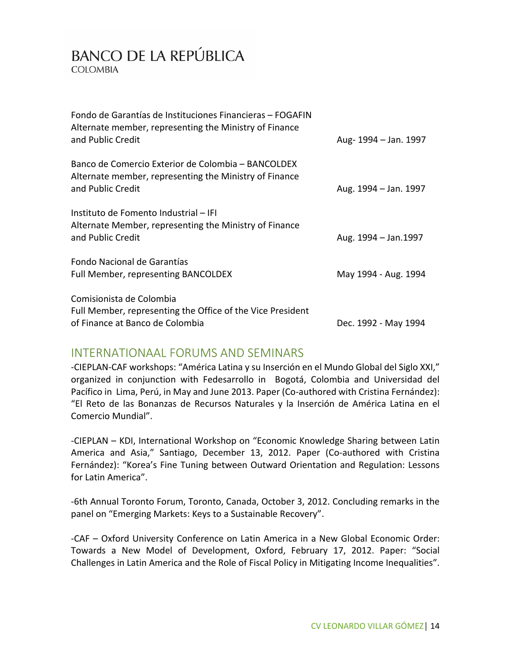| Fondo de Garantías de Instituciones Financieras - FOGAFIN<br>Alternate member, representing the Ministry of Finance<br>and Public Credit | Aug-1994 – Jan. 1997  |
|------------------------------------------------------------------------------------------------------------------------------------------|-----------------------|
| Banco de Comercio Exterior de Colombia - BANCOLDEX<br>Alternate member, representing the Ministry of Finance<br>and Public Credit        | Aug. 1994 – Jan. 1997 |
| Instituto de Fomento Industrial - IFI<br>Alternate Member, representing the Ministry of Finance<br>and Public Credit                     | Aug. 1994 - Jan. 1997 |
| Fondo Nacional de Garantías<br>Full Member, representing BANCOLDEX                                                                       | May 1994 - Aug. 1994  |
| Comisionista de Colombia<br>Full Member, representing the Office of the Vice President<br>of Finance at Banco de Colombia                | Dec. 1992 - May 1994  |

#### INTERNATIONAAL FORUMS AND SEMINARS

-CIEPLAN-CAF workshops: "América Latina y su Inserción en el Mundo Global del Siglo XXI," organized in conjunction with Fedesarrollo in Bogotá, Colombia and Universidad del Pacífico in Lima, Perú, in May and June 2013. Paper (Co-authored with Cristina Fernández): "El Reto de las Bonanzas de Recursos Naturales y la Inserción de América Latina en el Comercio Mundial".

-CIEPLAN – KDI, International Workshop on "Economic Knowledge Sharing between Latin America and Asia," Santiago, December 13, 2012. Paper (Co-authored with Cristina Fernández): "Korea's Fine Tuning between Outward Orientation and Regulation: Lessons for Latin America".

-6th Annual Toronto Forum, Toronto, Canada, October 3, 2012. Concluding remarks in the panel on "Emerging Markets: Keys to a Sustainable Recovery".

-CAF – Oxford University Conference on Latin America in a New Global Economic Order: Towards a New Model of Development, Oxford, February 17, 2012. Paper: "Social Challenges in Latin America and the Role of Fiscal Policy in Mitigating Income Inequalities".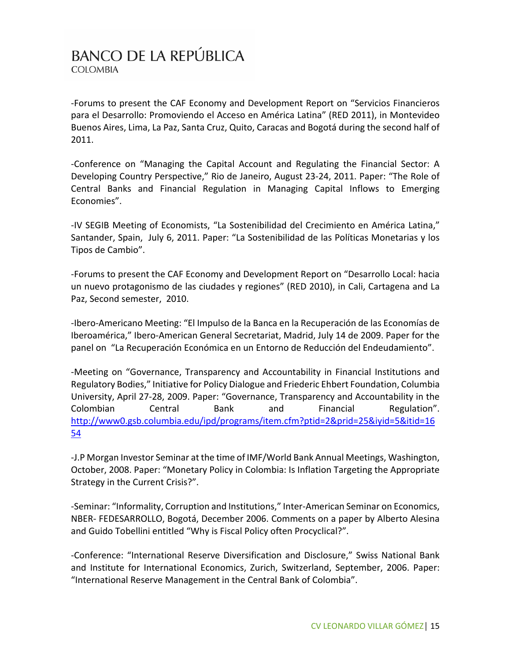-Forums to present the CAF Economy and Development Report on "Servicios Financieros para el Desarrollo: Promoviendo el Acceso en América Latina" (RED 2011), in Montevideo Buenos Aires, Lima, La Paz, Santa Cruz, Quito, Caracas and Bogotá during the second half of 2011.

-Conference on "Managing the Capital Account and Regulating the Financial Sector: A Developing Country Perspective," Rio de Janeiro, August 23-24, 2011. Paper: "The Role of Central Banks and Financial Regulation in Managing Capital Inflows to Emerging Economies".

-IV SEGIB Meeting of Economists, "La Sostenibilidad del Crecimiento en América Latina," Santander, Spain, July 6, 2011. Paper: "La Sostenibilidad de las Políticas Monetarias y los Tipos de Cambio".

-Forums to present the CAF Economy and Development Report on "Desarrollo Local: hacia un nuevo protagonismo de las ciudades y regiones" (RED 2010), in Cali, Cartagena and La Paz, Second semester, 2010.

-Ibero-Americano Meeting: "El Impulso de la Banca en la Recuperación de las Economías de Iberoamérica," Ibero-American General Secretariat, Madrid, July 14 de 2009. Paper for the panel on "La Recuperación Económica en un Entorno de Reducción del Endeudamiento".

-Meeting on "Governance, Transparency and Accountability in Financial Institutions and Regulatory Bodies," Initiative for Policy Dialogue and Friederic Ehbert Foundation, Columbia University, April 27-28, 2009. Paper: "Governance, Transparency and Accountability in the Colombian Central Bank and Financial Regulation". [http://www0.gsb.columbia.edu/ipd/programs/item.cfm?ptid=2&prid=25&iyid=5&itid=16](http://www0.gsb.columbia.edu/ipd/programs/item.cfm?ptid=2&prid=25&iyid=5&itid=1654) [54](http://www0.gsb.columbia.edu/ipd/programs/item.cfm?ptid=2&prid=25&iyid=5&itid=1654)

-J.P Morgan Investor Seminar at the time of IMF/World Bank Annual Meetings, Washington, October, 2008. Paper: "Monetary Policy in Colombia: Is Inflation Targeting the Appropriate Strategy in the Current Crisis?".

-Seminar: "Informality, Corruption and Institutions," Inter-American Seminar on Economics, NBER- FEDESARROLLO, Bogotá, December 2006. Comments on a paper by Alberto Alesina and Guido Tobellini entitled "Why is Fiscal Policy often Procyclical?".

-Conference: "International Reserve Diversification and Disclosure," Swiss National Bank and Institute for International Economics, Zurich, Switzerland, September, 2006. Paper: "International Reserve Management in the Central Bank of Colombia".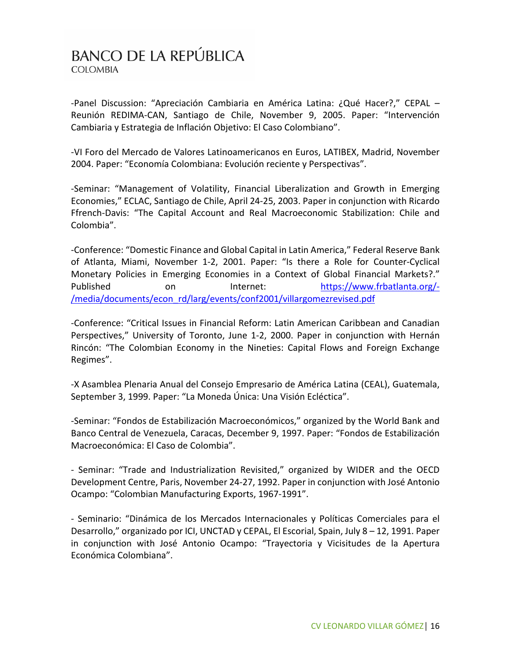-Panel Discussion: "Apreciación Cambiaria en América Latina: ¿Qué Hacer?," CEPAL – Reunión REDIMA-CAN, Santiago de Chile, November 9, 2005. Paper: "Intervención Cambiaria y Estrategia de Inflación Objetivo: El Caso Colombiano".

-VI Foro del Mercado de Valores Latinoamericanos en Euros, LATIBEX, Madrid, November 2004. Paper: "Economía Colombiana: Evolución reciente y Perspectivas".

-Seminar: "Management of Volatility, Financial Liberalization and Growth in Emerging Economies," ECLAC, Santiago de Chile, April 24-25, 2003. Paper in conjunction with Ricardo Ffrench-Davis: "The Capital Account and Real Macroeconomic Stabilization: Chile and Colombia".

-Conference: "Domestic Finance and Global Capital in Latin America," Federal Reserve Bank of Atlanta, Miami, November 1-2, 2001. Paper: "Is there a Role for Counter-Cyclical Monetary Policies in Emerging Economies in a Context of Global Financial Markets?." Published on Internet: [https://www.frbatlanta.org/-](https://www.frbatlanta.org/-/media/documents/econ_rd/larg/events/conf2001/villargomezrevised.pdf) [/media/documents/econ\\_rd/larg/events/conf2001/villargomezrevised.pdf](https://www.frbatlanta.org/-/media/documents/econ_rd/larg/events/conf2001/villargomezrevised.pdf)

-Conference: "Critical Issues in Financial Reform: Latin American Caribbean and Canadian Perspectives," University of Toronto, June 1-2, 2000. Paper in conjunction with Hernán Rincón: "The Colombian Economy in the Nineties: Capital Flows and Foreign Exchange Regimes".

-X Asamblea Plenaria Anual del Consejo Empresario de América Latina (CEAL), Guatemala, September 3, 1999. Paper: "La Moneda Única: Una Visión Ecléctica".

-Seminar: "Fondos de Estabilización Macroeconómicos," organized by the World Bank and Banco Central de Venezuela, Caracas, December 9, 1997. Paper: "Fondos de Estabilización Macroeconómica: El Caso de Colombia".

- Seminar: "Trade and Industrialization Revisited," organized by WIDER and the OECD Development Centre, Paris, November 24-27, 1992. Paper in conjunction with José Antonio Ocampo: "Colombian Manufacturing Exports, 1967-1991".

- Seminario: "Dinámica de los Mercados Internacionales y Políticas Comerciales para el Desarrollo," organizado por ICI, UNCTAD y CEPAL, El Escorial, Spain, July 8 – 12, 1991. Paper in conjunction with José Antonio Ocampo: "Trayectoria y Vicisitudes de la Apertura Económica Colombiana".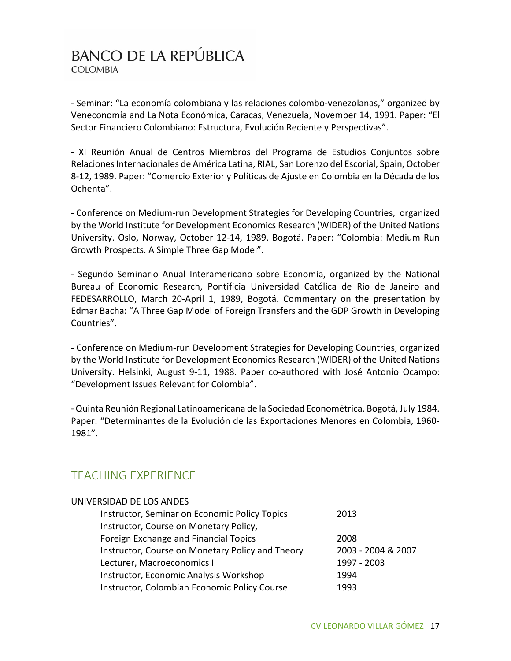- Seminar: "La economía colombiana y las relaciones colombo-venezolanas," organized by Veneconomía and La Nota Económica, Caracas, Venezuela, November 14, 1991. Paper: "El Sector Financiero Colombiano: Estructura, Evolución Reciente y Perspectivas".

- XI Reunión Anual de Centros Miembros del Programa de Estudios Conjuntos sobre Relaciones Internacionales de América Latina, RIAL, San Lorenzo del Escorial, Spain, October 8-12, 1989. Paper: "Comercio Exterior y Políticas de Ajuste en Colombia en la Década de los Ochenta".

- Conference on Medium-run Development Strategies for Developing Countries, organized by the World Institute for Development Economics Research (WIDER) of the United Nations University. Oslo, Norway, October 12-14, 1989. Bogotá. Paper: "Colombia: Medium Run Growth Prospects. A Simple Three Gap Model".

- Segundo Seminario Anual Interamericano sobre Economía, organized by the National Bureau of Economic Research, Pontificia Universidad Católica de Rio de Janeiro and FEDESARROLLO, March 20-April 1, 1989, Bogotá. Commentary on the presentation by Edmar Bacha: "A Three Gap Model of Foreign Transfers and the GDP Growth in Developing Countries".

- Conference on Medium-run Development Strategies for Developing Countries, organized by the World Institute for Development Economics Research (WIDER) of the United Nations University. Helsinki, August 9-11, 1988. Paper co-authored with José Antonio Ocampo: "Development Issues Relevant for Colombia".

- Quinta Reunión Regional Latinoamericana de la Sociedad Econométrica. Bogotá, July 1984. Paper: "Determinantes de la Evolución de las Exportaciones Menores en Colombia, 1960- 1981".

#### TEACHING EXPERIENCE

| UNIVERSIDAD DE LOS ANDES                         |                    |
|--------------------------------------------------|--------------------|
| Instructor, Seminar on Economic Policy Topics    | 2013               |
| Instructor, Course on Monetary Policy,           |                    |
| Foreign Exchange and Financial Topics            | 2008               |
| Instructor, Course on Monetary Policy and Theory | 2003 - 2004 & 2007 |
| Lecturer, Macroeconomics I                       | 1997 - 2003        |
| Instructor, Economic Analysis Workshop           | 1994               |
| Instructor, Colombian Economic Policy Course     | 1993               |